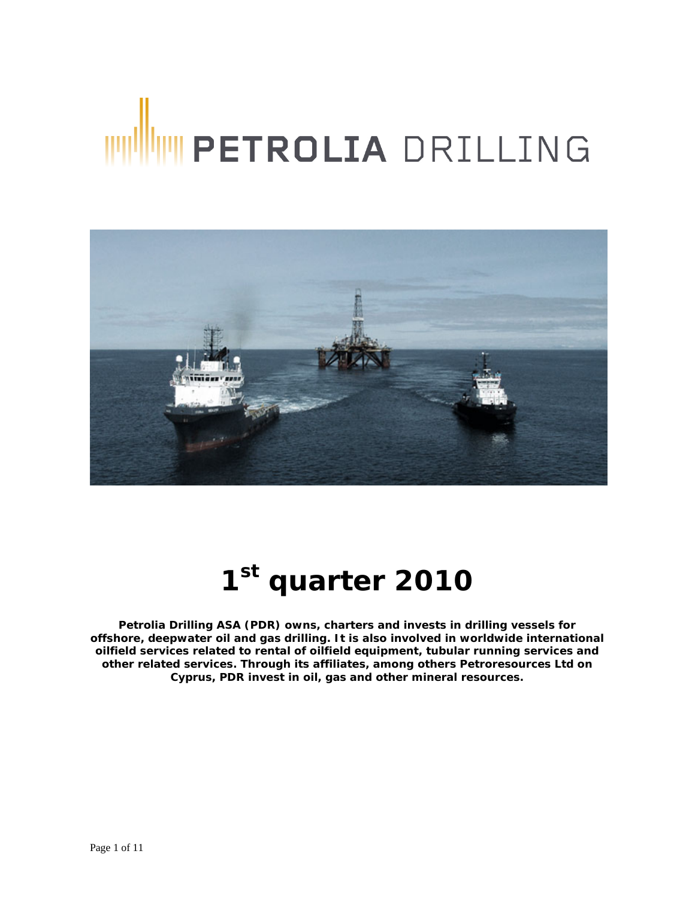# WWW PETROLIA DRILLING



# **1st quarter 2010**

**Petrolia Drilling ASA (PDR) owns, charters and invests in drilling vessels for offshore, deepwater oil and gas drilling. It is also involved in worldwide international oilfield services related to rental of oilfield equipment, tubular running services and other related services. Through its affiliates, among others Petroresources Ltd on Cyprus, PDR invest in oil, gas and other mineral resources.**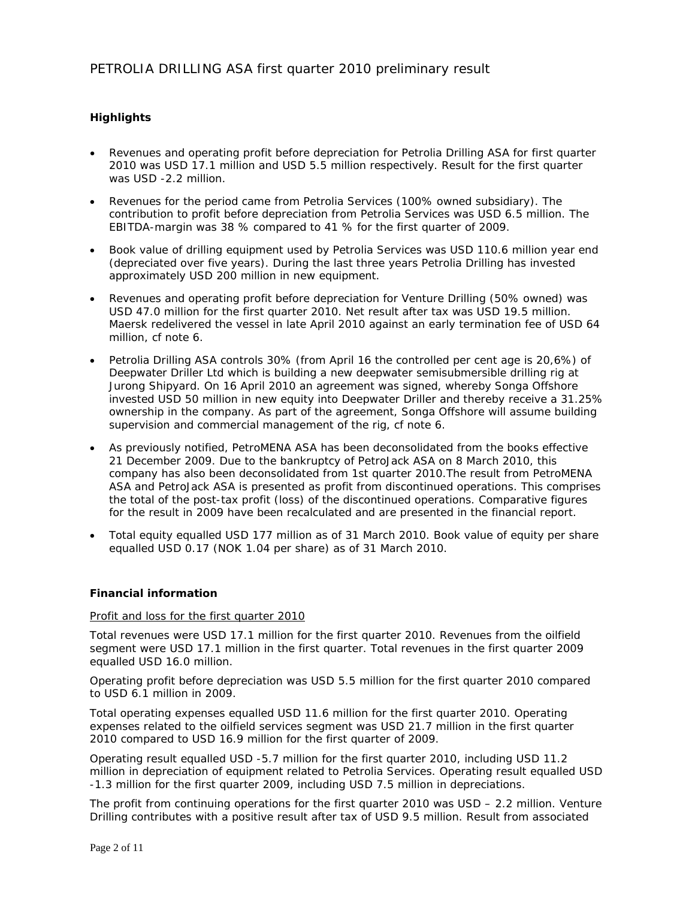# **Highlights**

- Revenues and operating profit before depreciation for Petrolia Drilling ASA for first quarter 2010 was USD 17.1 million and USD 5.5 million respectively. Result for the first quarter was USD -2.2 million.
- Revenues for the period came from Petrolia Services (100% owned subsidiary). The contribution to profit before depreciation from Petrolia Services was USD 6.5 million. The EBITDA-margin was 38 % compared to 41 % for the first quarter of 2009.
- Book value of drilling equipment used by Petrolia Services was USD 110.6 million year end (depreciated over five years). During the last three years Petrolia Drilling has invested approximately USD 200 million in new equipment.
- Revenues and operating profit before depreciation for Venture Drilling (50% owned) was USD 47.0 million for the first quarter 2010. Net result after tax was USD 19.5 million. Maersk redelivered the vessel in late April 2010 against an early termination fee of USD 64 million, cf note 6.
- Petrolia Drilling ASA controls 30% (from April 16 the controlled per cent age is 20,6%) of Deepwater Driller Ltd which is building a new deepwater semisubmersible drilling rig at Jurong Shipyard. On 16 April 2010 an agreement was signed, whereby Songa Offshore invested USD 50 million in new equity into Deepwater Driller and thereby receive a 31.25% ownership in the company. As part of the agreement, Songa Offshore will assume building supervision and commercial management of the rig, cf note 6.
- As previously notified, PetroMENA ASA has been deconsolidated from the books effective 21 December 2009. Due to the bankruptcy of PetroJack ASA on 8 March 2010, this company has also been deconsolidated from 1st quarter 2010.The result from PetroMENA ASA and PetroJack ASA is presented as profit from discontinued operations. This comprises the total of the post-tax profit (loss) of the discontinued operations. Comparative figures for the result in 2009 have been recalculated and are presented in the financial report.
- Total equity equalled USD 177 million as of 31 March 2010. Book value of equity per share equalled USD 0.17 (NOK 1.04 per share) as of 31 March 2010.

# **Financial information**

# Profit and loss for the first quarter 2010

Total revenues were USD 17.1 million for the first quarter 2010. Revenues from the oilfield segment were USD 17.1 million in the first quarter. Total revenues in the first quarter 2009 equalled USD 16.0 million.

Operating profit before depreciation was USD 5.5 million for the first quarter 2010 compared to USD 6.1 million in 2009.

Total operating expenses equalled USD 11.6 million for the first quarter 2010. Operating expenses related to the oilfield services segment was USD 21.7 million in the first quarter 2010 compared to USD 16.9 million for the first quarter of 2009.

Operating result equalled USD -5.7 million for the first quarter 2010, including USD 11.2 million in depreciation of equipment related to Petrolia Services. Operating result equalled USD -1.3 million for the first quarter 2009, including USD 7.5 million in depreciations.

The profit from continuing operations for the first quarter 2010 was USD – 2.2 million. Venture Drilling contributes with a positive result after tax of USD 9.5 million. Result from associated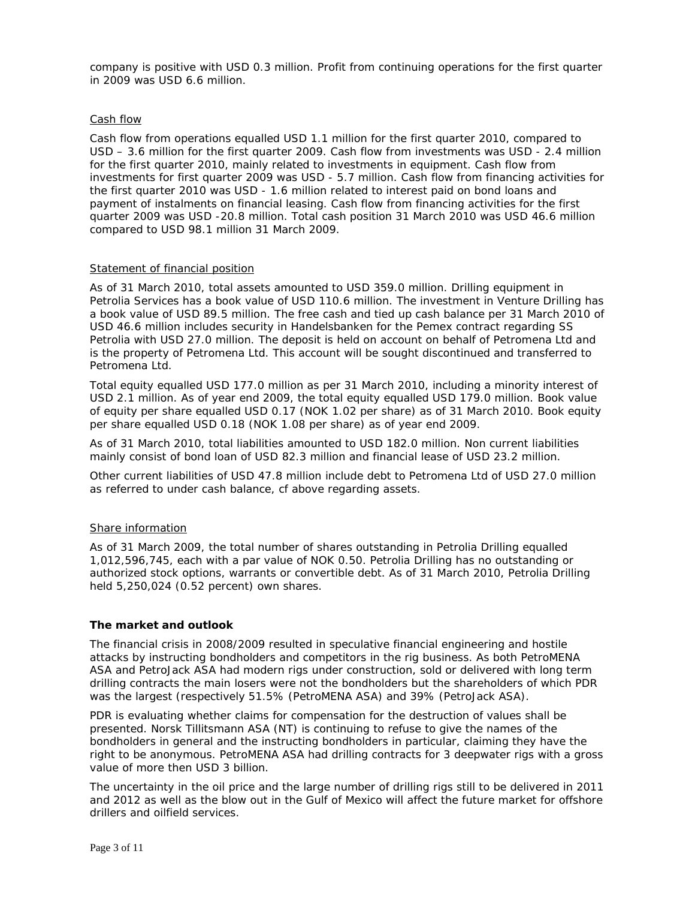company is positive with USD 0.3 million. Profit from continuing operations for the first quarter in 2009 was USD 6.6 million.

### Cash flow

Cash flow from operations equalled USD 1.1 million for the first quarter 2010, compared to USD – 3.6 million for the first quarter 2009. Cash flow from investments was USD - 2.4 million for the first quarter 2010, mainly related to investments in equipment. Cash flow from investments for first quarter 2009 was USD - 5.7 million. Cash flow from financing activities for the first quarter 2010 was USD - 1.6 million related to interest paid on bond loans and payment of instalments on financial leasing. Cash flow from financing activities for the first quarter 2009 was USD -20.8 million. Total cash position 31 March 2010 was USD 46.6 million compared to USD 98.1 million 31 March 2009.

# Statement of financial position

As of 31 March 2010, total assets amounted to USD 359.0 million. Drilling equipment in Petrolia Services has a book value of USD 110.6 million. The investment in Venture Drilling has a book value of USD 89.5 million. The free cash and tied up cash balance per 31 March 2010 of USD 46.6 million includes security in Handelsbanken for the Pemex contract regarding SS Petrolia with USD 27.0 million. The deposit is held on account on behalf of Petromena Ltd and is the property of Petromena Ltd. This account will be sought discontinued and transferred to Petromena Ltd.

Total equity equalled USD 177.0 million as per 31 March 2010, including a minority interest of USD 2.1 million. As of year end 2009, the total equity equalled USD 179.0 million. Book value of equity per share equalled USD 0.17 (NOK 1.02 per share) as of 31 March 2010. Book equity per share equalled USD 0.18 (NOK 1.08 per share) as of year end 2009.

As of 31 March 2010, total liabilities amounted to USD 182.0 million. Non current liabilities mainly consist of bond loan of USD 82.3 million and financial lease of USD 23.2 million.

Other current liabilities of USD 47.8 million include debt to Petromena Ltd of USD 27.0 million as referred to under cash balance, cf above regarding assets.

# Share information

As of 31 March 2009, the total number of shares outstanding in Petrolia Drilling equalled 1,012,596,745, each with a par value of NOK 0.50. Petrolia Drilling has no outstanding or authorized stock options, warrants or convertible debt. As of 31 March 2010, Petrolia Drilling held 5,250,024 (0.52 percent) own shares.

### **The market and outlook**

The financial crisis in 2008/2009 resulted in speculative financial engineering and hostile attacks by instructing bondholders and competitors in the rig business. As both PetroMENA ASA and PetroJack ASA had modern rigs under construction, sold or delivered with long term drilling contracts the main losers were not the bondholders but the shareholders of which PDR was the largest (respectively 51.5% (PetroMENA ASA) and 39% (PetroJack ASA).

PDR is evaluating whether claims for compensation for the destruction of values shall be presented. Norsk Tillitsmann ASA (NT) is continuing to refuse to give the names of the bondholders in general and the instructing bondholders in particular, claiming they have the right to be anonymous. PetroMENA ASA had drilling contracts for 3 deepwater rigs with a gross value of more then USD 3 billion.

The uncertainty in the oil price and the large number of drilling rigs still to be delivered in 2011 and 2012 as well as the blow out in the Gulf of Mexico will affect the future market for offshore drillers and oilfield services.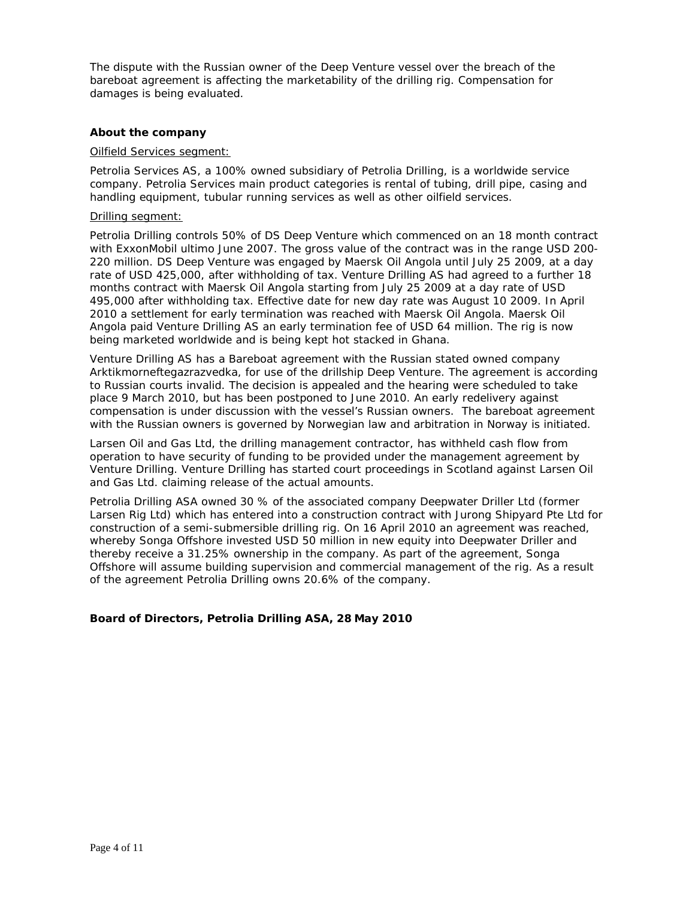The dispute with the Russian owner of the Deep Venture vessel over the breach of the bareboat agreement is affecting the marketability of the drilling rig. Compensation for damages is being evaluated.

### **About the company**

### Oilfield Services segment:

Petrolia Services AS, a 100% owned subsidiary of Petrolia Drilling, is a worldwide service company. Petrolia Services main product categories is rental of tubing, drill pipe, casing and handling equipment, tubular running services as well as other oilfield services.

### Drilling segment:

Petrolia Drilling controls 50% of DS Deep Venture which commenced on an 18 month contract with ExxonMobil ultimo June 2007. The gross value of the contract was in the range USD 200- 220 million. DS Deep Venture was engaged by Maersk Oil Angola until July 25 2009, at a day rate of USD 425,000, after withholding of tax. Venture Drilling AS had agreed to a further 18 months contract with Maersk Oil Angola starting from July 25 2009 at a day rate of USD 495,000 after withholding tax. Effective date for new day rate was August 10 2009. In April 2010 a settlement for early termination was reached with Maersk Oil Angola. Maersk Oil Angola paid Venture Drilling AS an early termination fee of USD 64 million. The rig is now being marketed worldwide and is being kept hot stacked in Ghana.

Venture Drilling AS has a Bareboat agreement with the Russian stated owned company Arktikmorneftegazrazvedka, for use of the drillship Deep Venture. The agreement is according to Russian courts invalid. The decision is appealed and the hearing were scheduled to take place 9 March 2010, but has been postponed to June 2010. An early redelivery against compensation is under discussion with the vessel's Russian owners. The bareboat agreement with the Russian owners is governed by Norwegian law and arbitration in Norway is initiated.

Larsen Oil and Gas Ltd, the drilling management contractor, has withheld cash flow from operation to have security of funding to be provided under the management agreement by Venture Drilling. Venture Drilling has started court proceedings in Scotland against Larsen Oil and Gas Ltd. claiming release of the actual amounts.

Petrolia Drilling ASA owned 30 % of the associated company Deepwater Driller Ltd (former Larsen Rig Ltd) which has entered into a construction contract with Jurong Shipyard Pte Ltd for construction of a semi-submersible drilling rig. On 16 April 2010 an agreement was reached, whereby Songa Offshore invested USD 50 million in new equity into Deepwater Driller and thereby receive a 31.25% ownership in the company. As part of the agreement, Songa Offshore will assume building supervision and commercial management of the rig. As a result of the agreement Petrolia Drilling owns 20.6% of the company.

# **Board of Directors, Petrolia Drilling ASA, 28 May 2010**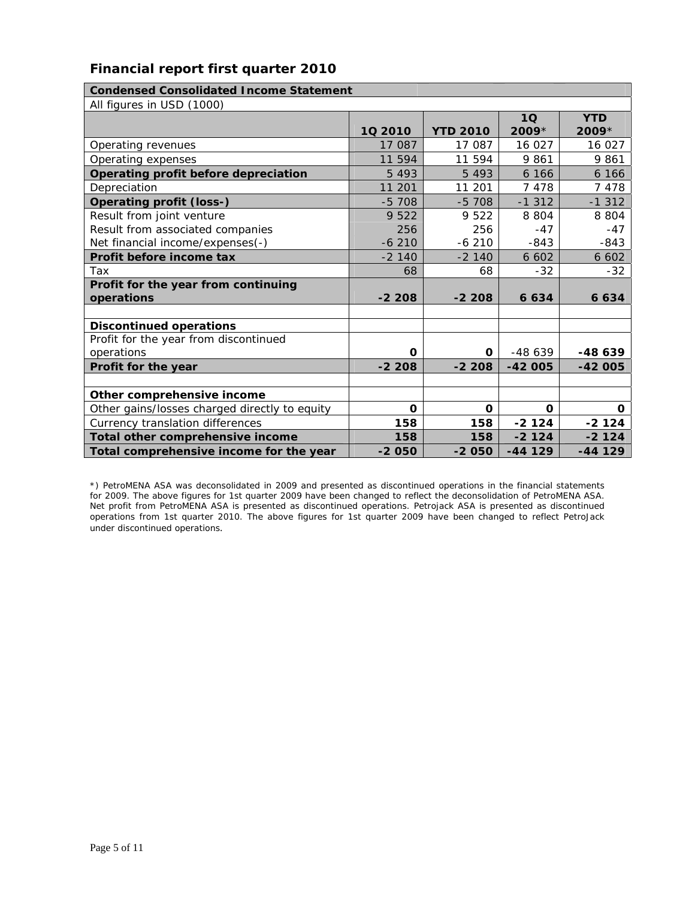# **Financial report first quarter 2010**

| <b>Condensed Consolidated Income Statement</b> |         |                 |                 |              |  |  |
|------------------------------------------------|---------|-----------------|-----------------|--------------|--|--|
| All figures in USD (1000)                      |         |                 |                 |              |  |  |
|                                                |         |                 | 10 <sub>1</sub> | <b>YTD</b>   |  |  |
|                                                | 10 2010 | <b>YTD 2010</b> | $2009*$         | $2009*$      |  |  |
| Operating revenues                             | 17 087  | 17 087          | 16 027          | 16 027       |  |  |
| Operating expenses                             | 11 594  | 11 594          | 9861            | 9861         |  |  |
| Operating profit before depreciation           | 5 4 9 3 | 5 4 9 3         | 6 1 6 6         | 6 16 6       |  |  |
| Depreciation                                   | 11 201  | 11 201          | 7 4 7 8         | 7478         |  |  |
| <b>Operating profit (loss-)</b>                | $-5708$ | $-5708$         | $-1312$         | $-1312$      |  |  |
| Result from joint venture                      | 9 5 2 2 | 9 5 2 2         | 8 8 0 4         | 8 8 0 4      |  |  |
| Result from associated companies               | 256     | 256             | $-47$           | $-47$        |  |  |
| Net financial income/expenses(-)               | $-6210$ | $-6210$         | $-843$          | $-843$       |  |  |
| Profit before income tax                       | $-2140$ | $-2140$         | 6 6 0 2         | 6 6 0 2      |  |  |
| Tax                                            | 68      | 68              | $-32$           | $-32$        |  |  |
| Profit for the year from continuing            |         |                 |                 |              |  |  |
| operations                                     | $-2208$ | $-2208$         | 6 6 3 4         | 6 6 3 4      |  |  |
|                                                |         |                 |                 |              |  |  |
| <b>Discontinued operations</b>                 |         |                 |                 |              |  |  |
| Profit for the year from discontinued          |         |                 |                 |              |  |  |
| operations                                     | 0       | O               | $-48639$        | $-48639$     |  |  |
| Profit for the year                            | $-2208$ | $-2208$         | $-42005$        | -42 005      |  |  |
|                                                |         |                 |                 |              |  |  |
| Other comprehensive income                     |         |                 |                 |              |  |  |
| Other gains/losses charged directly to equity  | O       | 0               | O               | $\mathbf{o}$ |  |  |
| Currency translation differences               | 158     | 158             | $-2124$         | $-2124$      |  |  |
| Total other comprehensive income               | 158     | 158             | $-2124$         | $-2124$      |  |  |
| Total comprehensive income for the year        | $-2050$ | $-2050$         | $-44129$        | $-44129$     |  |  |

\*) PetroMENA ASA was deconsolidated in 2009 and presented as discontinued operations in the financial statements for 2009. The above figures for 1st quarter 2009 have been changed to reflect the deconsolidation of PetroMENA ASA. Net profit from PetroMENA ASA is presented as discontinued operations. Petrojack ASA is presented as discontinued operations from 1st quarter 2010. The above figures for 1st quarter 2009 have been changed to reflect PetroJack under discontinued operations.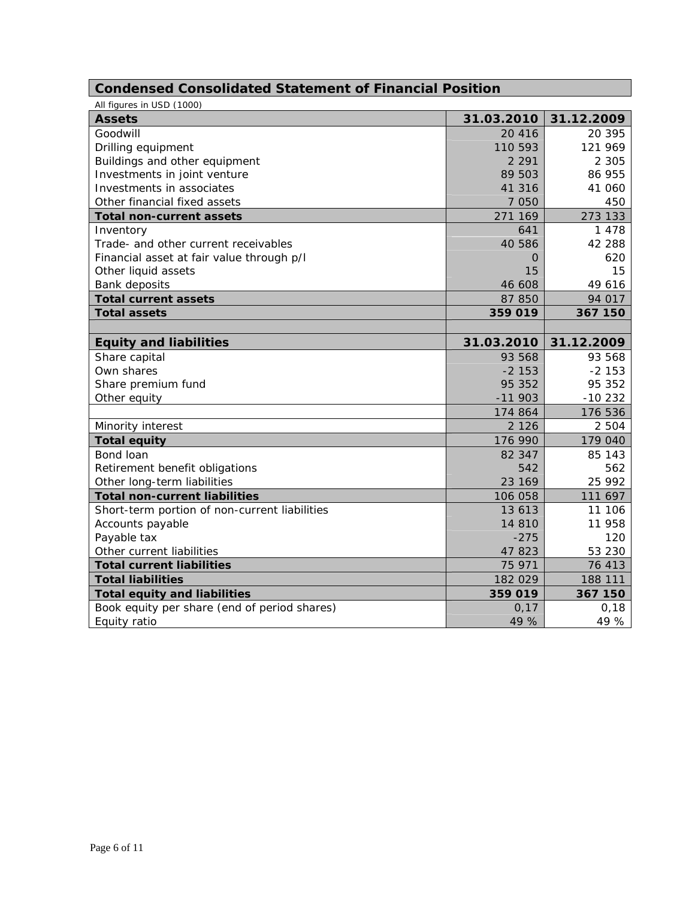# **Condensed Consolidated Statement of Financial Position**

| All figures in USD (1000)                     |            |            |
|-----------------------------------------------|------------|------------|
| <b>Assets</b>                                 | 31.03.2010 | 31.12.2009 |
| Goodwill                                      | 20 4 16    | 20 395     |
| Drilling equipment                            | 110 593    | 121 969    |
| Buildings and other equipment                 | 2 2 9 1    | 2 3 0 5    |
| Investments in joint venture                  | 89 503     | 86 955     |
| Investments in associates                     | 41 316     | 41 060     |
| Other financial fixed assets                  | 7 0 5 0    | 450        |
| <b>Total non-current assets</b>               | 271 169    | 273 133    |
| Inventory                                     | 641        | 1 4 7 8    |
| Trade- and other current receivables          | 40 586     | 42 288     |
| Financial asset at fair value through p/l     | O          | 620        |
| Other liquid assets                           | 15         | 15         |
| <b>Bank deposits</b>                          | 46 608     | 49 616     |
| <b>Total current assets</b>                   | 87 850     | 94 017     |
| <b>Total assets</b>                           | 359 019    | 367 150    |
|                                               |            |            |
| <b>Equity and liabilities</b>                 | 31.03.2010 | 31.12.2009 |
| Share capital                                 | 93 568     | 93 568     |
| Own shares                                    | $-2$ 153   | $-2153$    |
| Share premium fund                            | 95 352     | 95 352     |
| Other equity                                  | $-11903$   | $-10232$   |
|                                               | 174 864    | 176 536    |
| Minority interest                             | 2 1 2 6    | 2 5 0 4    |
| <b>Total equity</b>                           | 176 990    | 179 040    |
| Bond loan                                     | 82 347     | 85 143     |
| Retirement benefit obligations                | 542        | 562        |
| Other long-term liabilities                   | 23 169     | 25 992     |
| <b>Total non-current liabilities</b>          | 106 058    | 111 697    |
| Short-term portion of non-current liabilities | 13 613     | 11 106     |
| Accounts payable                              | 14 810     | 11 958     |
| Payable tax                                   | $-275$     | 120        |
| Other current liabilities                     | 47 823     | 53 230     |
| <b>Total current liabilities</b>              | 75 971     | 76 413     |
| <b>Total liabilities</b>                      | 182 029    | 188 111    |
| <b>Total equity and liabilities</b>           | 359 019    | 367 150    |
| Book equity per share (end of period shares)  | 0,17       | 0,18       |
| Equity ratio                                  | 49 %       | 49 %       |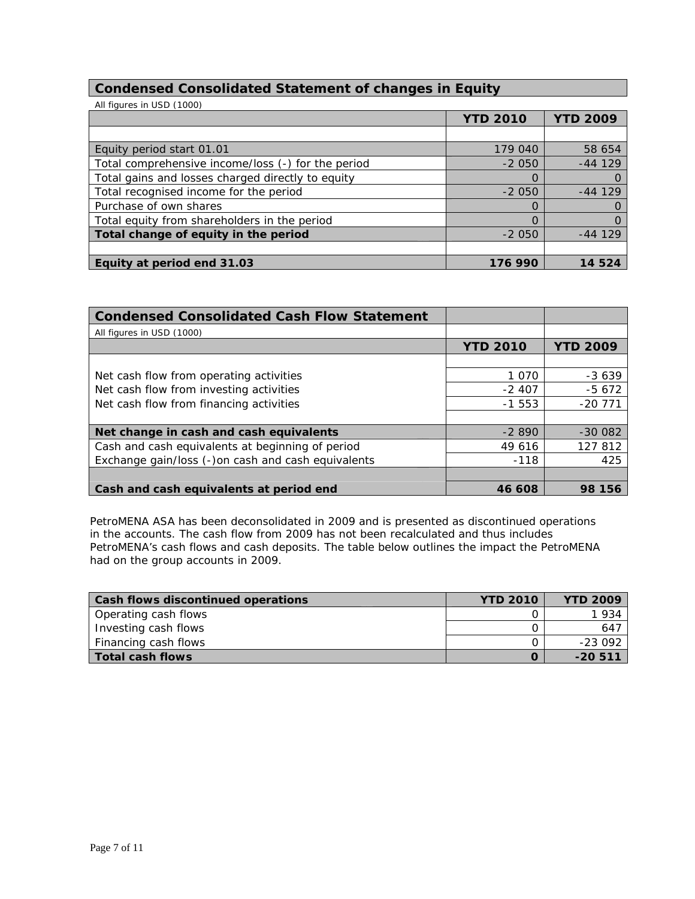# **Condensed Consolidated Statement of changes in Equity**

| All figures in USD (1000)                          |                 |                 |
|----------------------------------------------------|-----------------|-----------------|
|                                                    | <b>YTD 2010</b> | <b>YTD 2009</b> |
|                                                    |                 |                 |
| Equity period start 01.01                          | 179 040         | 58 654          |
| Total comprehensive income/loss (-) for the period | $-2050$         | $-44129$        |
| Total gains and losses charged directly to equity  | O               |                 |
| Total recognised income for the period             | $-2050$         | $-44$ 129       |
| Purchase of own shares                             | O               |                 |
| Total equity from shareholders in the period       |                 |                 |
| Total change of equity in the period               | $-2050$         | $-44$ 129       |
|                                                    |                 |                 |
| Equity at period end 31.03                         | 176 990         | 524             |

| <b>Condensed Consolidated Cash Flow Statement</b>  |                 |                 |
|----------------------------------------------------|-----------------|-----------------|
| All figures in USD (1000)                          |                 |                 |
|                                                    | <b>YTD 2010</b> | <b>YTD 2009</b> |
|                                                    |                 |                 |
| Net cash flow from operating activities            | 1 0 7 0         | $-3639$         |
| Net cash flow from investing activities            | $-2407$         | $-5672$         |
| Net cash flow from financing activities            | $-1553$         | $-20771$        |
|                                                    |                 |                 |
| Net change in cash and cash equivalents            | $-2890$         | $-300082$       |
| Cash and cash equivalents at beginning of period   | 49 616          | 127 812         |
| Exchange gain/loss (-)on cash and cash equivalents | $-118$          | 425             |
|                                                    |                 |                 |
| Cash and cash equivalents at period end            | 46 608          | 98 156          |

PetroMENA ASA has been deconsolidated in 2009 and is presented as discontinued operations in the accounts. The cash flow from 2009 has not been recalculated and thus includes PetroMENA's cash flows and cash deposits. The table below outlines the impact the PetroMENA had on the group accounts in 2009.

| <b>Cash flows discontinued operations</b> | <b>YTD 2010</b> | <b>YTD 2009</b> |
|-------------------------------------------|-----------------|-----------------|
| Operating cash flows                      |                 | 1934            |
| Investing cash flows                      |                 | 647             |
| Financing cash flows                      |                 | -23 092         |
| Total cash flows                          |                 | $-20511$        |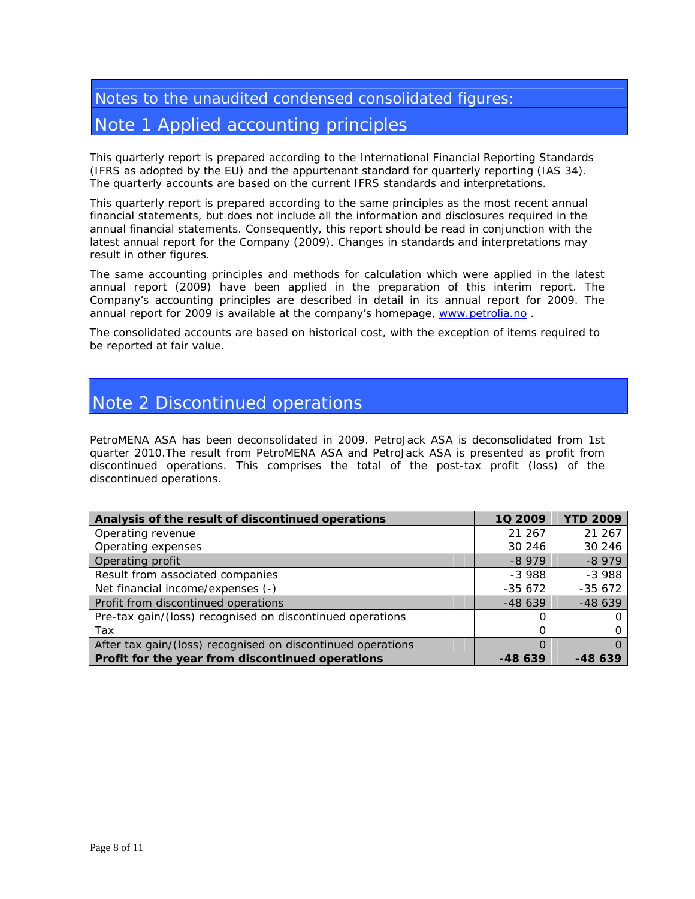# Notes to the unaudited condensed consolidated figures: Note 1 Applied accounting principles

This quarterly report is prepared according to the International Financial Reporting Standards (IFRS as adopted by the EU) and the appurtenant standard for quarterly reporting (IAS 34). The quarterly accounts are based on the current IFRS standards and interpretations.

This quarterly report is prepared according to the same principles as the most recent annual financial statements, but does not include all the information and disclosures required in the annual financial statements. Consequently, this report should be read in conjunction with the latest annual report for the Company (2009). Changes in standards and interpretations may result in other figures.

The same accounting principles and methods for calculation which were applied in the latest annual report (2009) have been applied in the preparation of this interim report. The Company's accounting principles are described in detail in its annual report for 2009. The annual report for 2009 is available at the company's homepage, www.petrolia.no .

The consolidated accounts are based on historical cost, with the exception of items required to be reported at fair value.

# Note 2 Discontinued operations

PetroMENA ASA has been deconsolidated in 2009. PetroJack ASA is deconsolidated from 1st quarter 2010.The result from PetroMENA ASA and PetroJack ASA is presented as profit from discontinued operations. This comprises the total of the post-tax profit (loss) of the discontinued operations.

| Analysis of the result of discontinued operations           | 10 2009  | <b>YTD 2009</b> |
|-------------------------------------------------------------|----------|-----------------|
| Operating revenue                                           | 21 267   | 21 267          |
| Operating expenses                                          | 30 246   | 30 24 6         |
| Operating profit                                            | $-8979$  | $-8979$         |
| Result from associated companies                            | $-3988$  | $-3988$         |
| Net financial income/expenses (-)                           | $-35672$ | $-35672$        |
| Profit from discontinued operations                         | $-48639$ | $-48639$        |
| Pre-tax gain/(loss) recognised on discontinued operations   |          | 0               |
| Tax                                                         |          |                 |
| After tax gain/(loss) recognised on discontinued operations |          | Ω               |
| Profit for the year from discontinued operations            | -48 639  | -48 639         |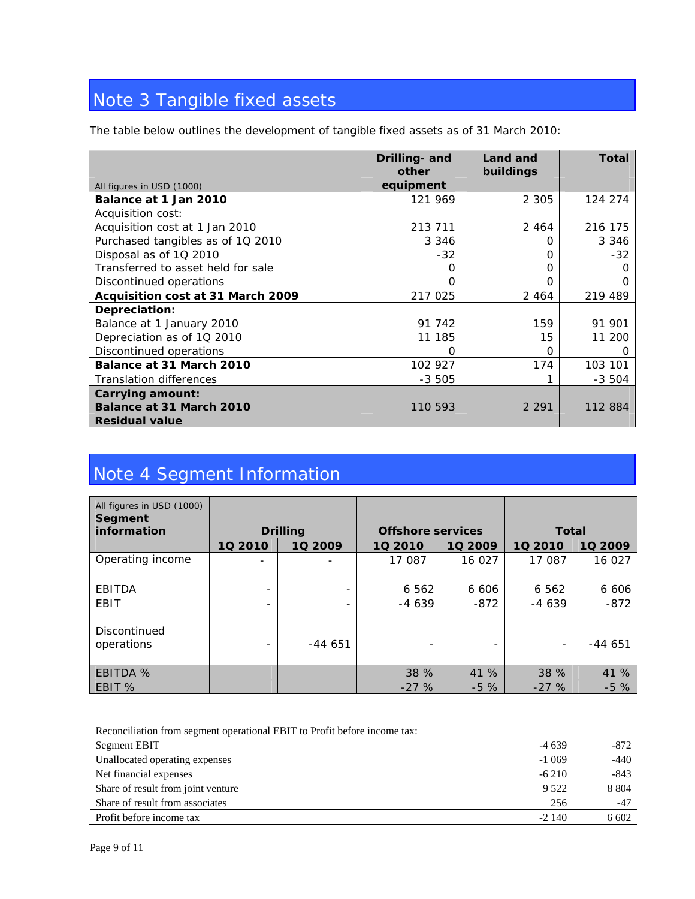# Note 3 Tangible fixed assets

The table below outlines the development of tangible fixed assets as of 31 March 2010:

|                                    | Drilling- and<br>other | Land and<br>buildings | <b>Total</b> |
|------------------------------------|------------------------|-----------------------|--------------|
| All figures in USD (1000)          | equipment              |                       |              |
| Balance at 1 Jan 2010              | 121 969                | 2 3 0 5               | 124 274      |
| Acquisition cost:                  |                        |                       |              |
| Acquisition cost at 1 Jan 2010     | 213 711                | 2 4 6 4               | 216 175      |
| Purchased tangibles as of 1Q 2010  | 3 3 4 6                | Ω                     | 3 3 4 6      |
| Disposal as of 1Q 2010             | $-32$                  | Ω                     | $-32$        |
| Transferred to asset held for sale |                        | Ω                     | 0            |
| Discontinued operations            |                        | റ                     | $\Omega$     |
| Acquisition cost at 31 March 2009  | 217 025                | 2 4 6 4               | 219 489      |
| Depreciation:                      |                        |                       |              |
| Balance at 1 January 2010          | 91 742                 | 159                   | 91 901       |
| Depreciation as of 1Q 2010         | 11 185                 | 15                    | 11 200       |
| Discontinued operations            | Ω                      | Ω                     | 0            |
| Balance at 31 March 2010           | 102 927                | 174                   | 103 101      |
| <b>Translation differences</b>     | $-3505$                |                       | $-3,504$     |
| Carrying amount:                   |                        |                       |              |
| Balance at 31 March 2010           | 110 593                | 2 2 9 1               | 112 884      |
| <b>Residual value</b>              |                        |                       |              |

# Note 4 Segment Information

| All figures in USD (1000)<br>Segment |                              |                 |                                          |         |                          |          |
|--------------------------------------|------------------------------|-----------------|------------------------------------------|---------|--------------------------|----------|
| information                          |                              | <b>Drilling</b> | <b>Offshore services</b><br><b>Total</b> |         |                          |          |
|                                      | 10 2010                      | 1Q 2009         | 10 2010                                  | 10 2009 | 10 2010                  | 10 2009  |
| Operating income                     | -                            |                 | 17 087                                   | 16 027  | 17 087                   | 16 027   |
| EBITDA                               | $\overline{\phantom{0}}$     |                 | 6 5 6 2                                  | 6 6 0 6 | 6 5 6 2                  | 6 606    |
| EBIT                                 | $\overline{\phantom{a}}$     |                 | $-4639$                                  | $-872$  | $-4639$                  | $-872$   |
| Discontinued<br>operations           | $\qquad \qquad \blacksquare$ | $-44651$        | $\overline{\phantom{a}}$                 |         | $\overline{\phantom{a}}$ | $-44651$ |
| <b>EBITDA %</b>                      |                              |                 | 38 %                                     | 41 %    | 38 %                     | 41 %     |
| EBIT %                               |                              |                 | $-27%$                                   | $-5\%$  | $-27%$                   | $-5%$    |

| Reconciliation from segment operational EBIT to Profit before income tax: |          |         |
|---------------------------------------------------------------------------|----------|---------|
| Segment EBIT                                                              | $-4639$  | -872    |
| Unallocated operating expenses                                            | $-1.069$ | -440    |
| Net financial expenses                                                    | $-6210$  | $-843$  |
| Share of result from joint venture                                        | 9.522    | 8 8 0 4 |
| Share of result from associates                                           | 256      | $-47$   |
| Profit before income tax                                                  | $-2140$  | 6 602   |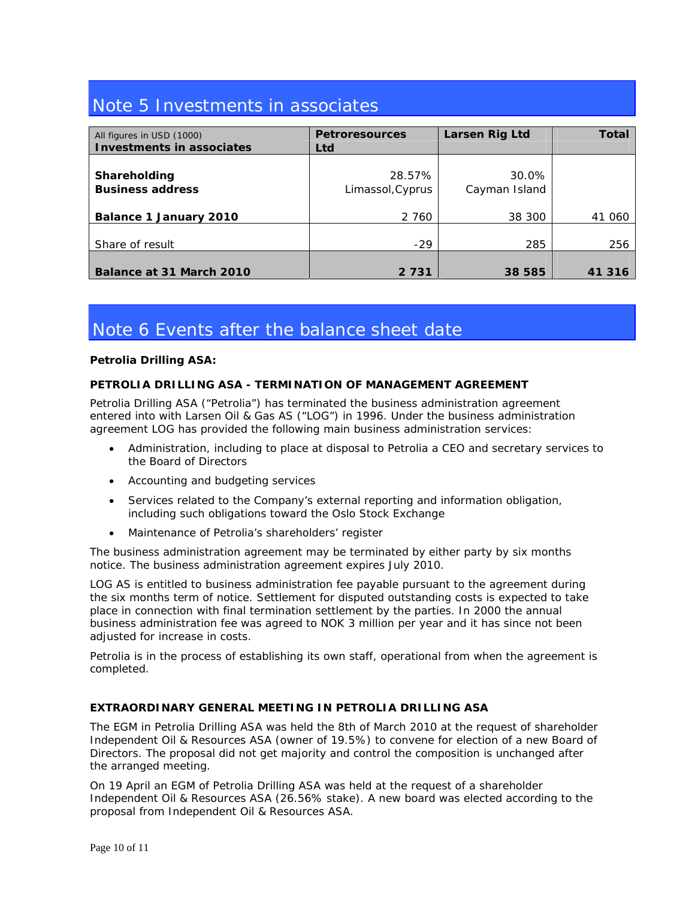# Note 5 Investments in associates

| All figures in USD (1000)<br>Investments in associates | <b>Petroresources</b><br>Ltd | Larsen Rig Ltd         | <b>Total</b> |
|--------------------------------------------------------|------------------------------|------------------------|--------------|
| Shareholding<br><b>Business address</b>                | 28.57%<br>Limassol, Cyprus   | 30.0%<br>Cayman Island |              |
| <b>Balance 1 January 2010</b>                          | 2 760                        | 38 300                 | 41 060       |
| Share of result                                        | $-29$                        | 285                    | 256          |
| Balance at 31 March 2010                               | 2 7 3 1                      | 38 585                 | 41 316       |

# Note 6 Events after the balance sheet date

# **Petrolia Drilling ASA:**

# **PETROLIA DRILLING ASA - TERMINATION OF MANAGEMENT AGREEMENT**

Petrolia Drilling ASA ("Petrolia") has terminated the business administration agreement entered into with Larsen Oil & Gas AS ("LOG") in 1996. Under the business administration agreement LOG has provided the following main business administration services:

- Administration, including to place at disposal to Petrolia a CEO and secretary services to the Board of Directors
- Accounting and budgeting services
- Services related to the Company's external reporting and information obligation, including such obligations toward the Oslo Stock Exchange
- Maintenance of Petrolia's shareholders' register

The business administration agreement may be terminated by either party by six months notice. The business administration agreement expires July 2010.

LOG AS is entitled to business administration fee payable pursuant to the agreement during the six months term of notice. Settlement for disputed outstanding costs is expected to take place in connection with final termination settlement by the parties. In 2000 the annual business administration fee was agreed to NOK 3 million per year and it has since not been adjusted for increase in costs.

Petrolia is in the process of establishing its own staff, operational from when the agreement is completed.

# **EXTRAORDINARY GENERAL MEETING IN PETROLIA DRILLING ASA**

The EGM in Petrolia Drilling ASA was held the 8th of March 2010 at the request of shareholder Independent Oil & Resources ASA (owner of 19.5%) to convene for election of a new Board of Directors. The proposal did not get majority and control the composition is unchanged after the arranged meeting.

On 19 April an EGM of Petrolia Drilling ASA was held at the request of a shareholder Independent Oil & Resources ASA (26.56% stake). A new board was elected according to the proposal from Independent Oil & Resources ASA.